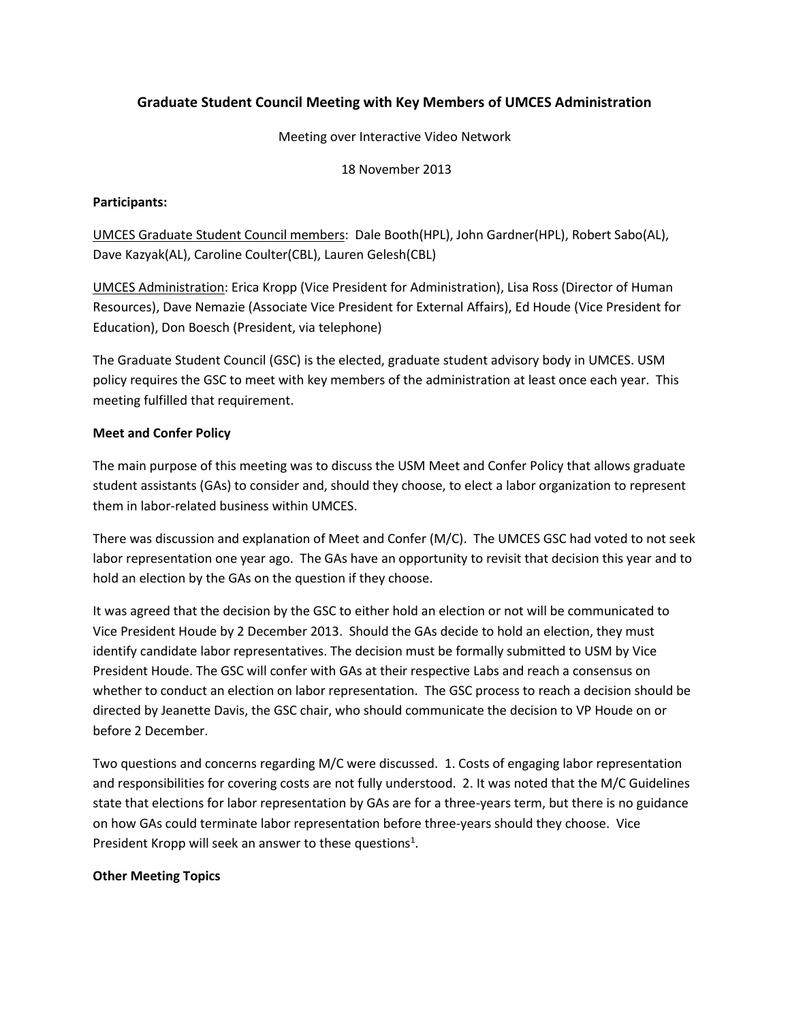# **Graduate Student Council Meeting with Key Members of UMCES Administration**

### Meeting over Interactive Video Network

### 18 November 2013

## **Participants:**

UMCES Graduate Student Council members: Dale Booth(HPL), John Gardner(HPL), Robert Sabo(AL), Dave Kazyak(AL), Caroline Coulter(CBL), Lauren Gelesh(CBL)

UMCES Administration: Erica Kropp (Vice President for Administration), Lisa Ross (Director of Human Resources), Dave Nemazie (Associate Vice President for External Affairs), Ed Houde (Vice President for Education), Don Boesch (President, via telephone)

The Graduate Student Council (GSC) is the elected, graduate student advisory body in UMCES. USM policy requires the GSC to meet with key members of the administration at least once each year. This meeting fulfilled that requirement.

## **Meet and Confer Policy**

The main purpose of this meeting was to discuss the USM Meet and Confer Policy that allows graduate student assistants (GAs) to consider and, should they choose, to elect a labor organization to represent them in labor-related business within UMCES.

There was discussion and explanation of Meet and Confer (M/C). The UMCES GSC had voted to not seek labor representation one year ago. The GAs have an opportunity to revisit that decision this year and to hold an election by the GAs on the question if they choose.

It was agreed that the decision by the GSC to either hold an election or not will be communicated to Vice President Houde by 2 December 2013. Should the GAs decide to hold an election, they must identify candidate labor representatives. The decision must be formally submitted to USM by Vice President Houde. The GSC will confer with GAs at their respective Labs and reach a consensus on whether to conduct an election on labor representation. The GSC process to reach a decision should be directed by Jeanette Davis, the GSC chair, who should communicate the decision to VP Houde on or before 2 December.

Two questions and concerns regarding M/C were discussed. 1. Costs of engaging labor representation and responsibilities for covering costs are not fully understood. 2. It was noted that the M/C Guidelines state that elections for labor representation by GAs are for a three-years term, but there is no guidance on how GAs could terminate labor representation before three-years should they choose. Vice President Kropp will seek an answer to these questions<sup>1</sup>.

### **Other Meeting Topics**